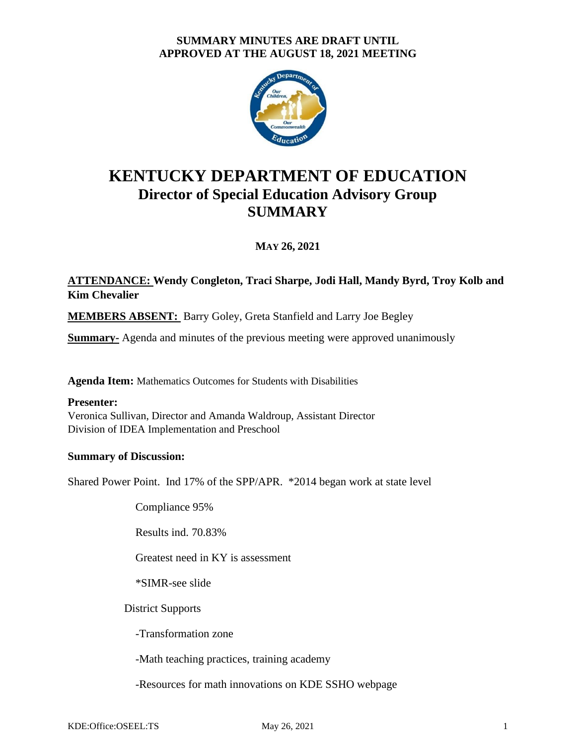# **SUMMARY MINUTES ARE DRAFT UNTIL APPROVED AT THE AUGUST 18, 2021 MEETING**



# **KENTUCKY DEPARTMENT OF EDUCATION Director of Special Education Advisory Group SUMMARY**

**MAY 26, 2021**

# **ATTENDANCE: Wendy Congleton, Traci Sharpe, Jodi Hall, Mandy Byrd, Troy Kolb and Kim Chevalier**

**MEMBERS ABSENT:** Barry Goley, Greta Stanfield and Larry Joe Begley

**Summary-** Agenda and minutes of the previous meeting were approved unanimously

**Agenda Item:** Mathematics Outcomes for Students with Disabilities

## **Presenter:**

Veronica Sullivan, Director and Amanda Waldroup, Assistant Director Division of IDEA Implementation and Preschool

## **Summary of Discussion:**

Shared Power Point. Ind 17% of the SPP/APR. \*2014 began work at state level

Compliance 95%

Results ind. 70.83%

Greatest need in KY is assessment

\*SIMR-see slide

District Supports

-Transformation zone

-Math teaching practices, training academy

-Resources for math innovations on KDE SSHO webpage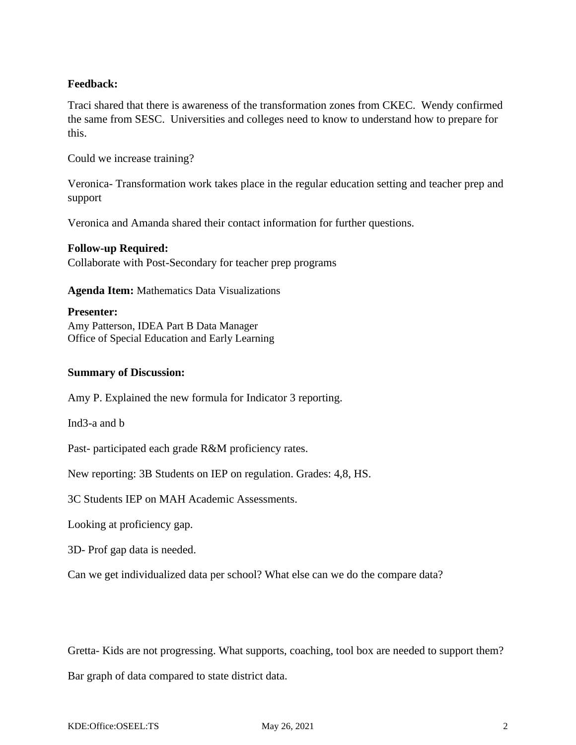# **Feedback:**

Traci shared that there is awareness of the transformation zones from CKEC. Wendy confirmed the same from SESC. Universities and colleges need to know to understand how to prepare for this.

Could we increase training?

Veronica- Transformation work takes place in the regular education setting and teacher prep and support

Veronica and Amanda shared their contact information for further questions.

#### **Follow-up Required:**

Collaborate with Post-Secondary for teacher prep programs

**Agenda Item:** Mathematics Data Visualizations

#### **Presenter:**

Amy Patterson, IDEA Part B Data Manager Office of Special Education and Early Learning

#### **Summary of Discussion:**

Amy P. Explained the new formula for Indicator 3 reporting.

Ind3-a and b

Past- participated each grade R&M proficiency rates.

New reporting: 3B Students on IEP on regulation. Grades: 4,8, HS.

3C Students IEP on MAH Academic Assessments.

Looking at proficiency gap.

3D- Prof gap data is needed.

Can we get individualized data per school? What else can we do the compare data?

Gretta- Kids are not progressing. What supports, coaching, tool box are needed to support them?

Bar graph of data compared to state district data.